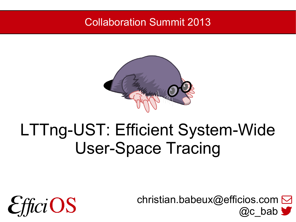#### Collaboration Summit 2013



## LTTng-UST: Efficient System-Wide User-Space Tracing

1 @c\_bab [christian.babeux@efficios.com](mailto:christian.babeux@efficios.com)

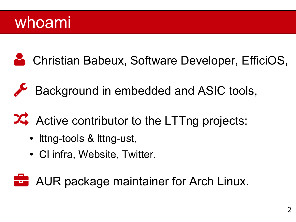#### whoami

Christian Babeux, Software Developer, EfficiOS,

Background in embedded and ASIC tools,

**24** Active contributor to the LTTng projects:

- Ittng-tools & Ittng-ust,
- CI infra, Website, Twitter.

**AUR package maintainer for Arch Linux.**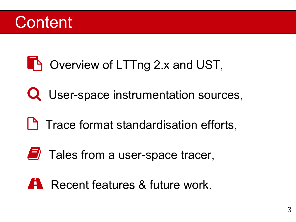#### **Content**

#### **The Overview of LTTng 2.x and UST,**

- Q User-space instrumentation sources,
- **Trace format standardisation efforts,**
- $\Box$  Tales from a user-space tracer,

#### **Recent features & future work.**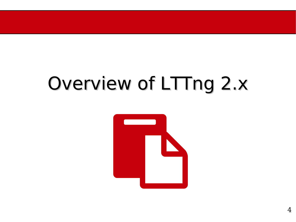# Overview of LTTng 2.x

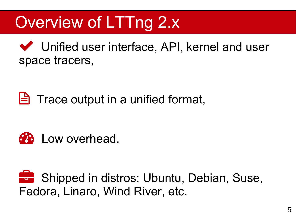# Overview of LTTng 2.x

 Unified user interface, API, kernel and user space tracers,

 $\Box$  Trace output in a unified format,



**Shipped in distros: Ubuntu, Debian, Suse,** Fedora, Linaro, Wind River, etc.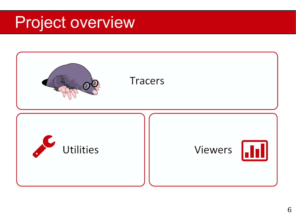## Project overview

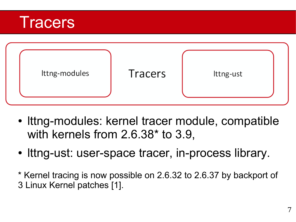



- Ittng-modules: kernel tracer module, compatible with kernels from 2.6.38\* to 3.9,
- Ittng-ust: user-space tracer, in-process library.
- \* Kernel tracing is now possible on 2.6.32 to 2.6.37 by backport of 3 Linux Kernel patches [1].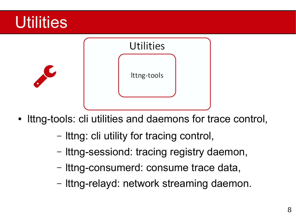

- Ittng-tools: cli utilities and daemons for trace control,
	- lttng: cli utility for tracing control,
	- lttng-sessiond: tracing registry daemon,
	- lttng-consumerd: consume trace data,
	- lttng-relayd: network streaming daemon.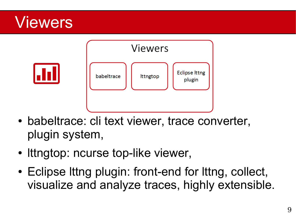#### Viewers



- babeltrace: cli text viewer, trace converter, plugin system,
- Ittngtop: ncurse top-like viewer,
- Eclipse Ittng plugin: front-end for Ittng, collect, visualize and analyze traces, highly extensible.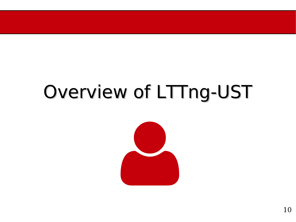# Overview of LTTng-UST

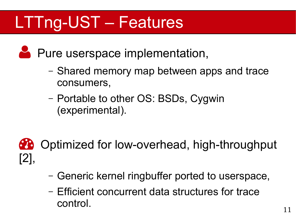# LTTng-UST – Features

**Pure userspace implementation,** 

- Shared memory map between apps and trace consumers,
- Portable to other OS: BSDs, Cygwin (experimental).



**CO** Optimized for low-overhead, high-throughput

- Generic kernel ringbuffer ported to userspace,
- Efficient concurrent data structures for trace control.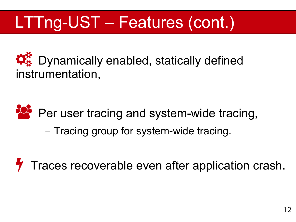# LTTng-UST – Features (cont.)

 $\mathcal{R}_{\alpha}^{\prime\prime}$  Dynamically enabled, statically defined instrumentation,



– Tracing group for system-wide tracing.

Traces recoverable even after application crash.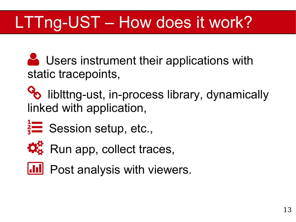# LTTng-UST – How does it work?

Users instrument their applications with static tracepoints,

 $\%$  liblttng-ust, in-process library, dynamically linked with application,

 $\frac{2}{3}$  Session setup, etc.,



 $\mathcal{R}_3^R$  Run app, collect traces,



**III** Post analysis with viewers.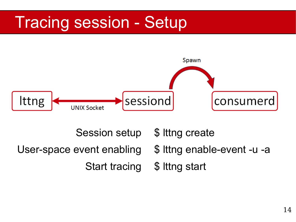## Tracing session - Setup



Session setup User-space event enabling Start tracing

\$ lttng create

\$ lttng enable-event -u -a

\$ lttng start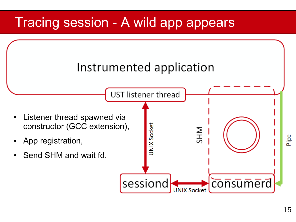#### Tracing session - A wild app appears

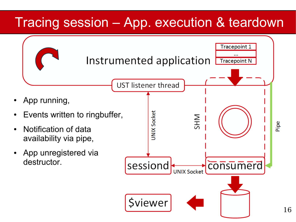#### Tracing session – App. execution & teardown

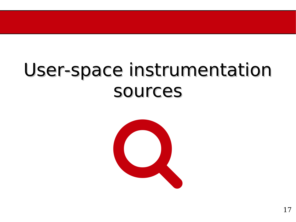# User-space instrumentation sources

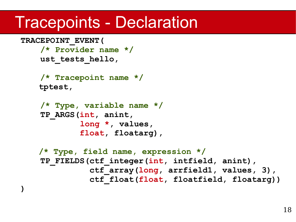#### Tracepoints - Declaration

```
TRACEPOINT_EVENT(
     /* Provider name */
     ust_tests_hello,
     /* Tracepoint name */ 
   tptest, 
     /* Type, variable name */
     TP_ARGS(int, anint, 
             long *, values,
              float, floatarg),
   /* Type, field name, expression */ 
     TP_FIELDS(ctf_integer(int, intfield, anint),
               ctf_array(long, arrfield1, values, 3),
                ctf_float(float, floatfield, floatarg))
)
```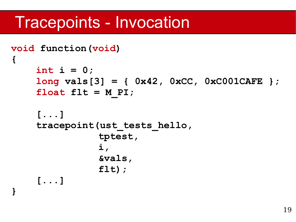#### Tracepoints - Invocation

**}**

```
void function(void)
{
     int i = 0;
     long vals[3] = { 0x42, 0xCC, 0xC001CAFE };
    float f1t = M PI;
     [...]
     tracepoint(ust_tests_hello, 
                tptest,
 i, 
                &vals,
                flt); 
     [...]
```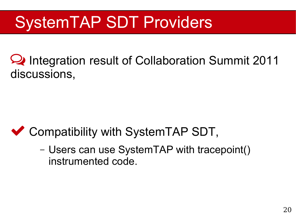# SystemTAP SDT Providers

 Integration result of Collaboration Summit 2011 discussions,

#### ◆ Compatibility with SystemTAP SDT,

– Users can use SystemTAP with tracepoint() instrumented code.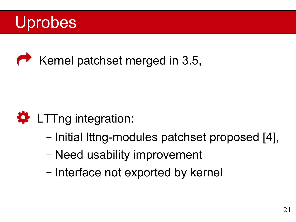



#### **D** LTTng integration:

- Initial lttng-modules patchset proposed [4],
- Need usability improvement
- Interface not exported by kernel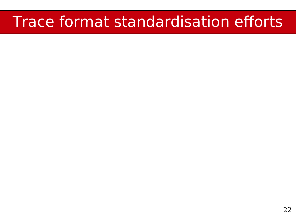#### Trace format standardisation efforts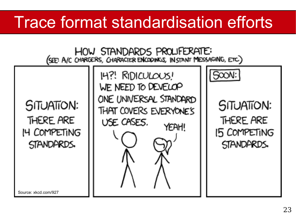## Trace format standardisation efforts

HOW STANDARDS PROLLFERATE: (SEE: A/C CHARGERS, CHARACTER ENCODINGS, IN STANT MESSAGING, ETC.)

**SITUATION:** THERE ARE 14 COMPETING STANDARDS.

14?! RIDICULOUS! WE NEED TO DEVELOP ONE UNIVERSAL STANDARD THAT COVERS EVERYONE'S USE CASES. YEAH!

SITUATION: THERE ARE **15 COMPETING** STANDARDS.

SOON:

Source: xkcd.com/927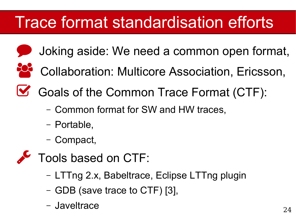# Trace format standardisation efforts

Joking aside: We need a common open format,



- <sup>20</sup> Collaboration: Multicore Association, Ericsson,
- Goals of the Common Trace Format (CTF):
	- Common format for SW and HW traces,
	- Portable,
	- Compact,
- $\triangle$  Tools based on CTF:
	- LTTng 2.x, Babeltrace, Eclipse LTTng plugin
	- GDB (save trace to CTF) [3],
	- Javeltrace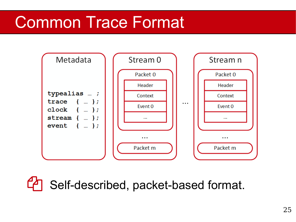

<sup>4</sup> Self-described, packet-based format.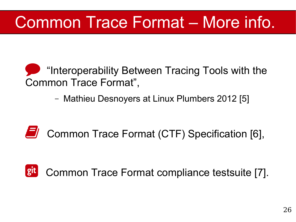## Common Trace Format – More info.

- **The Interoperability Between Tracing Tools with the** Common Trace Format",
	- Mathieu Desnoyers at Linux Plumbers 2012 [5]
- Common Trace Format (CTF) Specification [6],

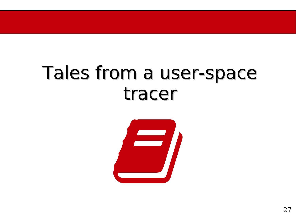# Tales from a user-space tracer

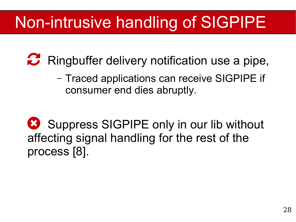## Non-intrusive handling of SIGPIPE

**P** Ringbuffer delivery notification use a pipe,

– Traced applications can receive SIGPIPE if consumer end dies abruptly.

Suppress SIGPIPE only in our lib without affecting signal handling for the rest of the process [8].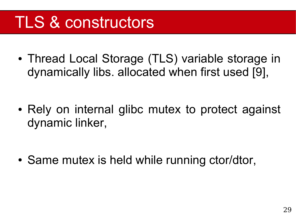## TLS & constructors

• Thread Local Storage (TLS) variable storage in dynamically libs. allocated when first used [9],

• Rely on internal glibc mutex to protect against dynamic linker,

• Same mutex is held while running ctor/dtor,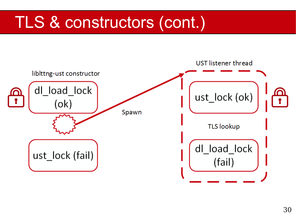## TLS & constructors (cont.)

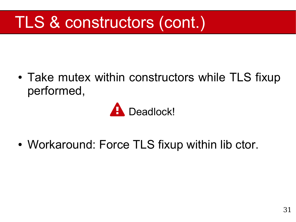# TLS & constructors (cont.)

• Take mutex within constructors while TLS fixup performed,



• Workaround: Force TLS fixup within lib ctor.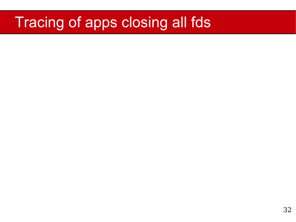#### Tracing of apps closing all fds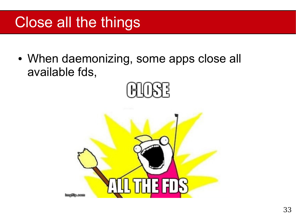#### Close all the things

• When daemonizing, some apps close all available fds,



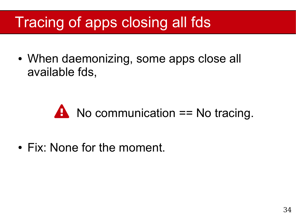#### Tracing of apps closing all fds

• When daemonizing, some apps close all available fds,

## $\triangle$  No communication == No tracing.

• Fix: None for the moment.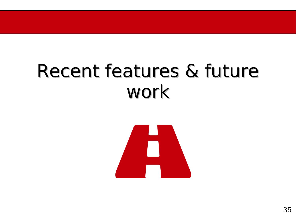# Recent features & future work

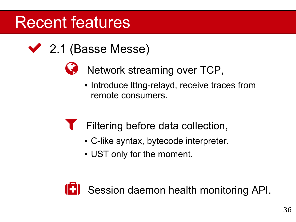## Recent features

- ◆ 2.1 (Basse Messe)
	- Super Network streaming over TCP,
		- Introduce Ittng-relayd, receive traces from remote consumers.
		- Filtering before data collection,
			- C-like syntax, bytecode interpreter.
			- UST only for the moment.

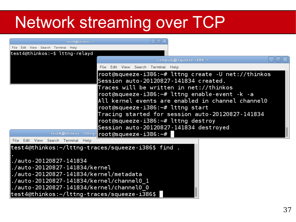# Network streaming over TCP

| test4@thinkos: ~                                   |                                                                   |  |  |
|----------------------------------------------------|-------------------------------------------------------------------|--|--|
| File Edit View Search Terminal Help                |                                                                   |  |  |
| test4@thinkos:~\$ lttng-relayd                     |                                                                   |  |  |
|                                                    | compudj@squeeze-i386: ~                                           |  |  |
|                                                    | Edit View Search Terminal Help<br>File                            |  |  |
|                                                    | $root@squeeze-i386:-# 1ttng create -U net://thinkos$              |  |  |
|                                                    | Session auto-20120827-141834 created.                             |  |  |
|                                                    | Traces will be written in net://thinkos                           |  |  |
|                                                    | $root@squeeze-i386:-# 1ttng enable-event -k -a$                   |  |  |
|                                                    | All kernel events are enabled in channel channel0                 |  |  |
|                                                    | $root$ asqueeze-i386: $-#$ lttng start                            |  |  |
|                                                    | Tracing started for session auto-20120827-141834                  |  |  |
|                                                    | $root$ (dsqueeze-i386: $-#$ lttng destroy                         |  |  |
|                                                    | Session auto-20120827-141834 destroyed                            |  |  |
|                                                    | $test4@$ thinkos: $*/$ Ittng- $ root$ (dsqueeze - $i386$ : $~+$ # |  |  |
| File Edit View Search Terminal Help                |                                                                   |  |  |
| test4@thinkos:~/lttng-traces/squeeze-i386\$ find . |                                                                   |  |  |
|                                                    |                                                                   |  |  |
| ./auto-20120827-141834                             |                                                                   |  |  |
| ./auto-20120827-141834/kernel                      |                                                                   |  |  |
| ./auto-20120827-141834/kernel/metadata             |                                                                   |  |  |
|                                                    |                                                                   |  |  |
|                                                    |                                                                   |  |  |
| test4@thinkos:~/lttng-traces/squeeze-i386\$        |                                                                   |  |  |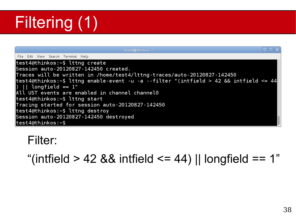# Filtering (1)

| test4@thinkos: ~                                                                      |  |
|---------------------------------------------------------------------------------------|--|
| File Edit View Search Terminal Help                                                   |  |
| test4@thinkos:~\$ lttng create                                                        |  |
| Session auto-20120827-142450 created.                                                 |  |
| Traces will be written in /home/test4/lttng-traces/auto-20120827-142450               |  |
| test4@thinkos:~\$ lttng enable-event -u -a --filter "(intfield > 42 && intfield <= 44 |  |
| $\parallel$ ) $\parallel$ longfield == 1"                                             |  |
| All UST events are enabled in channel channel0                                        |  |
| test4@thinkos:~\$ lttng start                                                         |  |
| Tracing started for session auto-20120827-142450                                      |  |
| test4@thinkos:~\$ lttng destroy                                                       |  |
| Session auto-20120827-142450 destroyed                                                |  |
| $\textsf{test4@thing}$                                                                |  |

#### Filter:

"(intfield > 42 && intfield <= 44) || longfield == 1"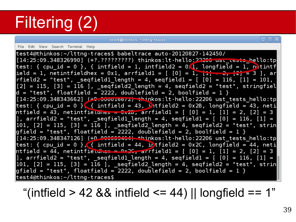# Filtering (2)

test4@thinkos: "/lttnq-traces

#### File Edit View Search Terminal Help

test4@thinkos:~/lttng-traces\$ babeltrace auto-20120827-142450/ [14:25:09.348326990] (+?.?????????) thinkos:lt-hello:<del>22200 usi ieste h</del>ello:tp test: { cpu id = 0 }, { intfield = 1, intfield2 =  $0.1$ , longfield = 1,  $n$  tintf  $|$ ield = 1, netintfieldhex = 0x1, arrfield1 = [ [0] = 1,  $\frac{1}{11}$  = 2,  $\frac{1}{12}$  = 3 ], ar  $rfield2 = "test", \_\_seq\field1\_\_length = 4, \_\_seqfile1d1 = [ 0 ] = 116, [1] = 101,$  $[2] = 115$ ,  $[3] = 116$  ],  $\text{\textsf{seq}field2\_length} = 4$ ,  $\text{\textsf{seq}field2} = \text{\textsf "test"}$ ,  $\text{\textsf{stringfield}}$  $\vert$ d = "test", floatfield = 2222, doublefield = 2, boolfield = 1 } [14:25:09.348343662] <del>(+C.Juuutoo/z) thi</del>nkos:lt-hello:22206 ust\_tests\_hello:tp**]** |test: { cpu id = 0 }<mark>. {</mark> intfield = 43, *i* tfield2 = 0x2B, longfield = 43, neti|  $\ln$ tfield = 43, netintfieldnex =  $\frac{1}{2}$  =  $\frac{1}{2}$  arrfield1 = [ [0] = 1, [1] = 2, [2] = 3  $[101, [2] = 115, [3] = 116$  ], \_seqTield2\_length = 4, seqfield2 = "test", strin  $\sqrt{g}$ field = "test", floatfield = 2222, doublefield = 2, boolfield = 1 }  $\left[14:25:09.348347126\right]$  (+0 000000464) thinkos:lt-hello:22206 ust\_tests\_hello:tp test: { cpu\_id = 0 }, { intfield = 44, intfield2 = 0x2C, longfield = 44, neti<br>ntfield = 44, netintfield<del>icx = 0x2C, a</del>rrfield1 = [ [0] = 1, [1] = 2, [2] = 3  $\left\lfloor 101\text{, } \left\lfloor 2\right\rfloor \right\rfloor\hspace{.05cm}=\hspace{.05cm} 115$  ,  $\left\lfloor 3\right\rfloor\hspace{.05cm}=\hspace{.05cm} 116$  ],  $\hspace{.08cm}\rule{0.7cm}\hspace{.05cm}\hspace{.08cm}\hspace{.08cm}\hspace{.08cm}\hspace{.08cm}\hspace{.08cm}\hspace{.08cm}\hspace{.08cm}\hspace{.08cm}\hspace{.08cm}\hspace{.08cm}\hspace{.08cm}\hspace{.08cm}\hspace$  $\mathsf{qfileld}$  = "test", floatfield = 2222, doublefield = 2, boolfield = 1  $\mathcal{R}$ test4@thinkos:~/lttng-traces\$

"(intfield  $> 42$  && intfield  $\leq$  44) || longfield  $== 1$ "

 $\Box$ iaix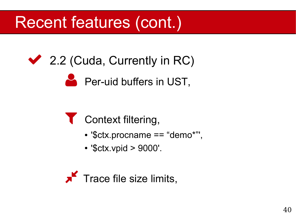## Recent features (cont.)

#### ◆ 2.2 (Cuda, Currently in RC)

#### **Per-uid buffers in UST,**

#### Context filtering,

- '\$ctx.procname == "demo\*"',
- '\$ctx.vpid > 9000'.

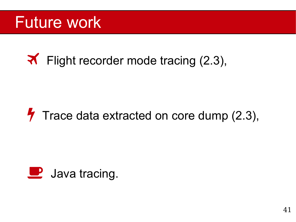#### Future work

#### **K** Flight recorder mode tracing (2.3),

#### $\blacktriangledown$  Trace data extracted on core dump (2.3),

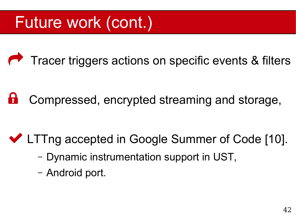## Future work (cont.)

**Tracer triggers actions on specific events & filters** 

**B** Compressed, encrypted streaming and storage,

#### ◆ LTTng accepted in Google Summer of Code [10].

- Dynamic instrumentation support in UST,
- Android port.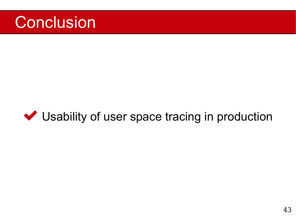

#### Usability of user space tracing in production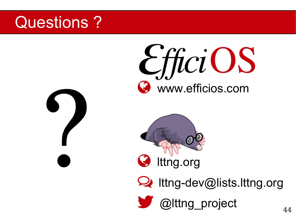#### Questions ?

EfficiOS www.efficios.com